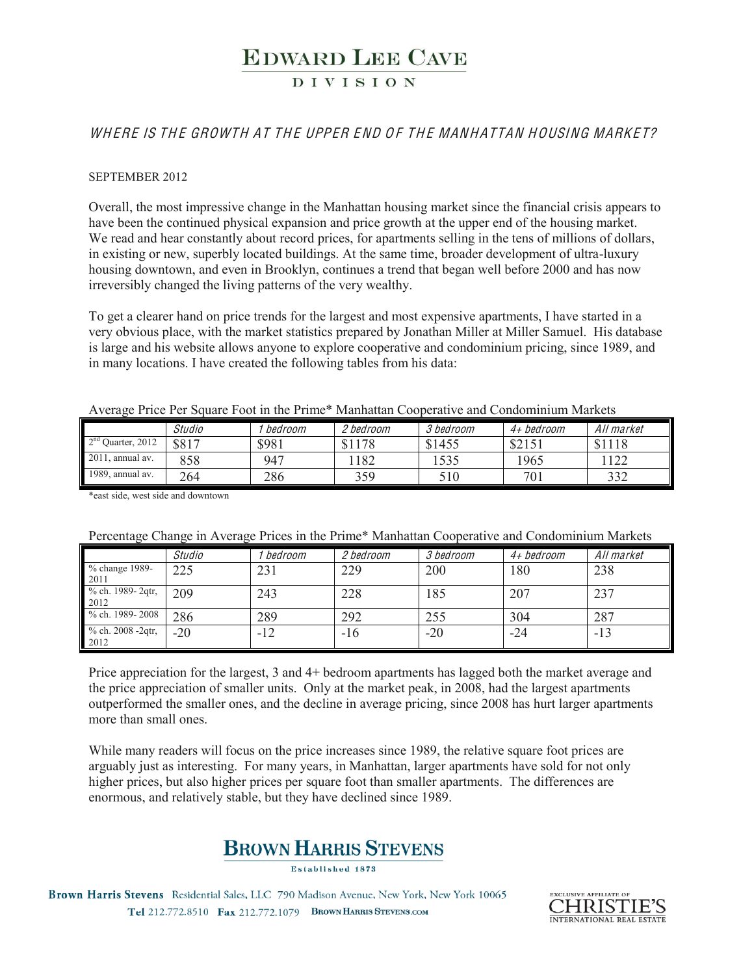### **DIVISION**

#### WH ERE IS THE GROWTH AT THE UPPER END OF THE MANHATTAN HOUSING MARKET?

#### SEPTEMBER 2012

Overall, the most impressive change in the Manhattan housing market since the financial crisis appears to have been the continued physical expansion and price growth at the upper end of the housing market. We read and hear constantly about record prices, for apartments selling in the tens of millions of dollars, in existing or new, superbly located buildings. At the same time, broader development of ultra-luxury housing downtown, and even in Brooklyn, continues a trend that began well before 2000 and has now irreversibly changed the living patterns of the very wealthy.

To get a clearer hand on price trends for the largest and most expensive apartments, I have started in a very obvious place, with the market statistics prepared by Jonathan Miller at Miller Samuel. His database is large and his website allows anyone to explore cooperative and condominium pricing, since 1989, and in many locations. I have created the following tables from his data:

| Average Price Per Square Foot in the Prime* Manhattan Cooperative and Condominium Markets |  |
|-------------------------------------------------------------------------------------------|--|
|-------------------------------------------------------------------------------------------|--|

|                      | Studio | bedroom | 2 bedroom  | 3 bedroom | 4+ bedroom                  | All market |
|----------------------|--------|---------|------------|-----------|-----------------------------|------------|
| $2nd$ Ouarter, 2012  | \$817  | \$981   | 178<br>ሮ 1 | \$1455    | $0 \cap 1 \subset T$<br>0/1 | \$1118     |
| 2011<br>, annual av. | 858    | 947     | 182        | 1535      | 1965                        | 122        |
| 1989, annual av.     | 264    | 286     | 359        | 510       | 701                         | 332        |

\*east side, west side and downtown

| Percentage Change in Average Prices in the Prime* Manhattan Cooperative and Condominium Markets |  |  |  |  |
|-------------------------------------------------------------------------------------------------|--|--|--|--|
|                                                                                                 |  |  |  |  |

|                               | Studio | bedroom | 2 bedroom | 3 bedroom | 4+ bedroom | All market |
|-------------------------------|--------|---------|-----------|-----------|------------|------------|
| % change 1989-<br>2011        | 225    | 231     | 229       | 200       | 180        | 238        |
| % ch. 1989-2qtr,<br>2012      | 209    | 243     | 228       | 185       | 207        | 237        |
| % ch. 1989-2008               | 286    | 289     | 292       | 255       | 304        | 287        |
| % ch. $2008 - 2qtr$ ,<br>2012 | $-20$  | $-12$   | $-16$     | $-20$     | -24        | $-13$      |

Price appreciation for the largest, 3 and 4+ bedroom apartments has lagged both the market average and the price appreciation of smaller units. Only at the market peak, in 2008, had the largest apartments outperformed the smaller ones, and the decline in average pricing, since 2008 has hurt larger apartments more than small ones.

While many readers will focus on the price increases since 1989, the relative square foot prices are arguably just as interesting. For many years, in Manhattan, larger apartments have sold for not only higher prices, but also higher prices per square foot than smaller apartments. The differences are enormous, and relatively stable, but they have declined since 1989.

## **BROWN HARRIS STEVENS**

Established 1873

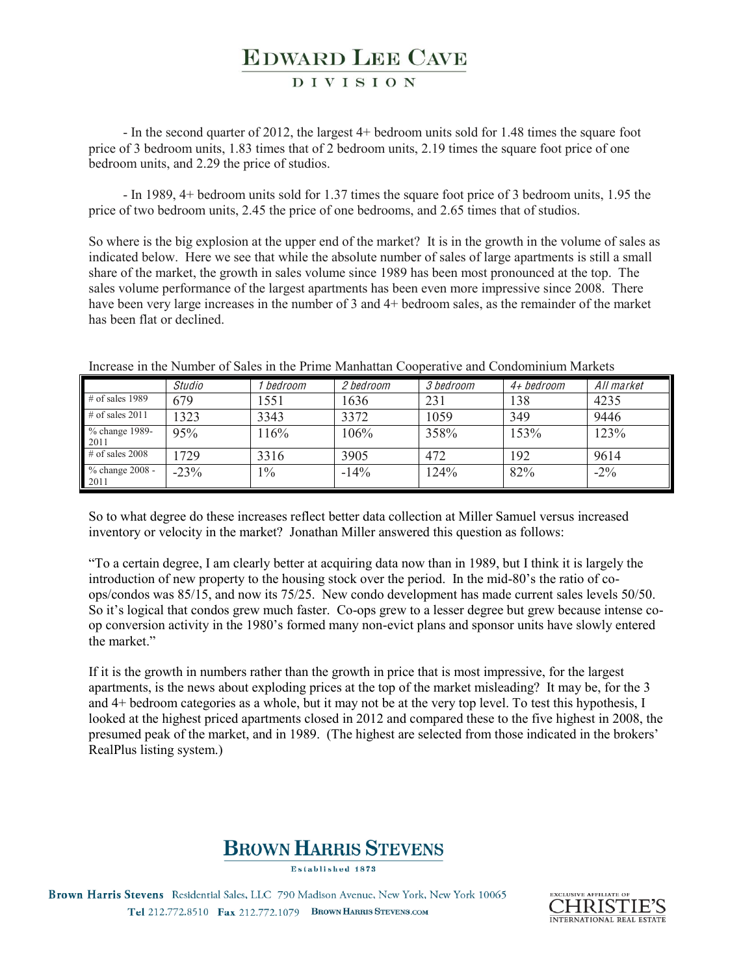#### **DIVISION**

- In the second quarter of 2012, the largest 4+ bedroom units sold for 1.48 times the square foot price of 3 bedroom units, 1.83 times that of 2 bedroom units, 2.19 times the square foot price of one bedroom units, and 2.29 the price of studios.

- In 1989, 4+ bedroom units sold for 1.37 times the square foot price of 3 bedroom units, 1.95 the price of two bedroom units, 2.45 the price of one bedrooms, and 2.65 times that of studios.

So where is the big explosion at the upper end of the market? It is in the growth in the volume of sales as indicated below. Here we see that while the absolute number of sales of large apartments is still a small share of the market, the growth in sales volume since 1989 has been most pronounced at the top. The sales volume performance of the largest apartments has been even more impressive since 2008. There have been very large increases in the number of 3 and 4+ bedroom sales, as the remainder of the market has been flat or declined.

|                         | Studio | bedroom | 2 bedroom | 3 bedroom | 4+ bedroom | All market |
|-------------------------|--------|---------|-----------|-----------|------------|------------|
| $\#$ of sales 1989      | 679    | 1551    | 1636      | 231       | 138        | 4235       |
| # of sales $2011$       | 1323   | 3343    | 3372      | 1059      | 349        | 9446       |
| % change 1989-<br>2011  | 95%    | 16%     | 106%      | 358%      | 153%       | 123%       |
| $\#$ of sales 2008      | 1729   | 3316    | 3905      | 472       | 192        | 9614       |
| % change 2008 -<br>2011 | $-23%$ | $1\%$   | $-14%$    | 124%      | 82%        | $-2\%$     |

Increase in the Number of Sales in the Prime Manhattan Cooperative and Condominium Markets

So to what degree do these increases reflect better data collection at Miller Samuel versus increased inventory or velocity in the market? Jonathan Miller answered this question as follows:

"To a certain degree, I am clearly better at acquiring data now than in 1989, but I think it is largely the introduction of new property to the housing stock over the period. In the mid- $80$ 's the ratio of coops/condos was 85/15, and now its 75/25. New condo development has made current sales levels 50/50. So it's logical that condos grew much faster. Co-ops grew to a lesser degree but grew because intense coop conversion activity in the 1980's formed many non-evict plans and sponsor units have slowly entered the market"

If it is the growth in numbers rather than the growth in price that is most impressive, for the largest apartments, is the news about exploding prices at the top of the market misleading? It may be, for the 3 and 4+ bedroom categories as a whole, but it may not be at the very top level. To test this hypothesis, I looked at the highest priced apartments closed in 2012 and compared these to the five highest in 2008, the presumed peak of the market, and in 1989. (The highest are selected from those indicated in the brokers' RealPlus listing system.)

## **BROWN HARRIS STEVENS**

Established 1873

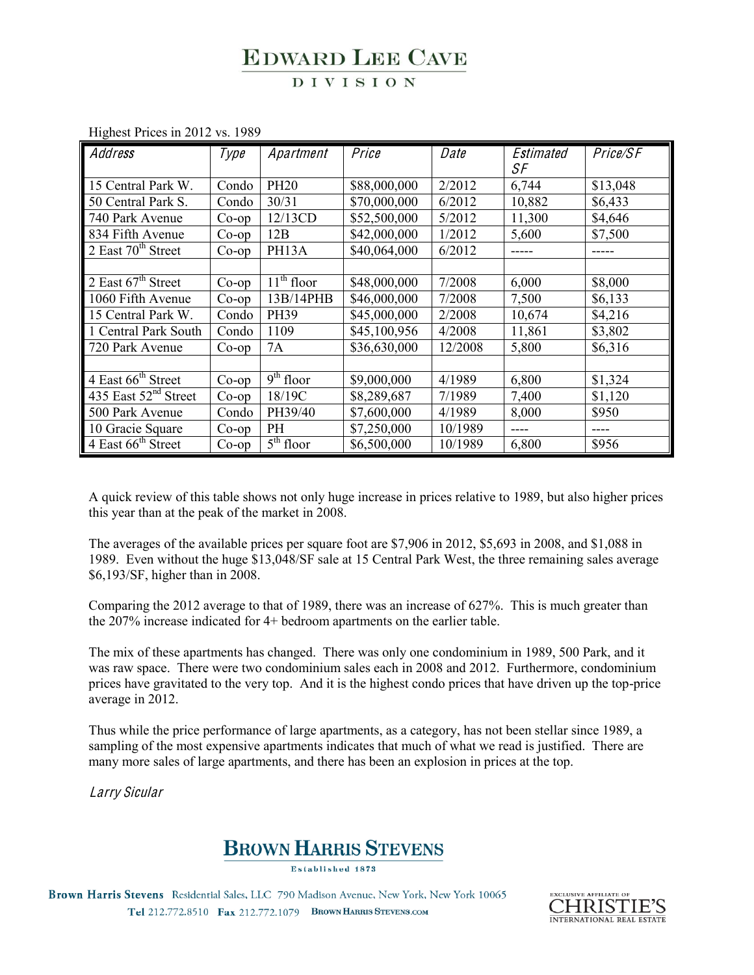### **DIVISION**

| Address                          | Type     | Apartment                          | Price        | Date    | Estimated | Price/SF |
|----------------------------------|----------|------------------------------------|--------------|---------|-----------|----------|
|                                  |          |                                    |              |         | SF        |          |
| 15 Central Park W.               | Condo    | <b>PH20</b>                        | \$88,000,000 | 2/2012  | 6,744     | \$13,048 |
| 50 Central Park S.               | Condo    | 30/31                              | \$70,000,000 | 6/2012  | 10,882    | \$6,433  |
| 740 Park Avenue                  | $Co$ -op | 12/13CD                            | \$52,500,000 | 5/2012  | 11,300    | \$4,646  |
| 834 Fifth Avenue                 | $Co$ -op | 12B                                | \$42,000,000 | 1/2012  | 5,600     | \$7,500  |
| 2 East $70th$ Street             | $Co$ -op | PH13A                              | \$40,064,000 | 6/2012  | -----     | -----    |
|                                  |          |                                    |              |         |           |          |
| 2 East $67th$ Street             | $Co$ -op | $11th$ floor                       | \$48,000,000 | 7/2008  | 6,000     | \$8,000  |
| 1060 Fifth Avenue                | $Co$ -op | 13B/14PHB                          | \$46,000,000 | 7/2008  | 7,500     | \$6,133  |
| 15 Central Park W.               | Condo    | PH39                               | \$45,000,000 | 2/2008  | 10,674    | \$4,216  |
| 1 Central Park South             | Condo    | 1109                               | \$45,100,956 | 4/2008  | 11,861    | \$3,802  |
| 720 Park Avenue                  | $Co$ -op | 7A                                 | \$36,630,000 | 12/2008 | 5,800     | \$6,316  |
|                                  |          |                                    |              |         |           |          |
| 4 East 66 <sup>th</sup> Street   | $Co$ -op | $\overline{9}$ <sup>th</sup> floor | \$9,000,000  | 4/1989  | 6,800     | \$1,324  |
| 435 East 52 <sup>nd</sup> Street | $Co$ -op | 18/19C                             | \$8,289,687  | 7/1989  | 7,400     | \$1,120  |
| 500 Park Avenue                  | Condo    | PH39/40                            | \$7,600,000  | 4/1989  | 8,000     | \$950    |
| 10 Gracie Square                 | $Co$ -op | PH                                 | \$7,250,000  | 10/1989 | $- - - -$ | ----     |
| 4 East 66 <sup>th</sup> Street   | $Co$ -op | $\overline{5}^{\text{th}}$ floor   | \$6,500,000  | 10/1989 | 6,800     | \$956    |

Highest Prices in 2012 vs. 1989

A quick review of this table shows not only huge increase in prices relative to 1989, but also higher prices this year than at the peak of the market in 2008.

The averages of the available prices per square foot are \$7,906 in 2012, \$5,693 in 2008, and \$1,088 in 1989. Even without the huge \$13,048/SF sale at 15 Central Park West, the three remaining sales average \$6,193/SF, higher than in 2008.

Comparing the 2012 average to that of 1989, there was an increase of 627%. This is much greater than the 207% increase indicated for 4+ bedroom apartments on the earlier table.

The mix of these apartments has changed. There was only one condominium in 1989, 500 Park, and it was raw space. There were two condominium sales each in 2008 and 2012. Furthermore, condominium prices have gravitated to the very top. And it is the highest condo prices that have driven up the top-price average in 2012.

Thus while the price performance of large apartments, as a category, has not been stellar since 1989, a sampling of the most expensive apartments indicates that much of what we read is justified. There are many more sales of large apartments, and there has been an explosion in prices at the top.

Larry Sicular

## **BROWN HARRIS STEVENS**

Established 1873